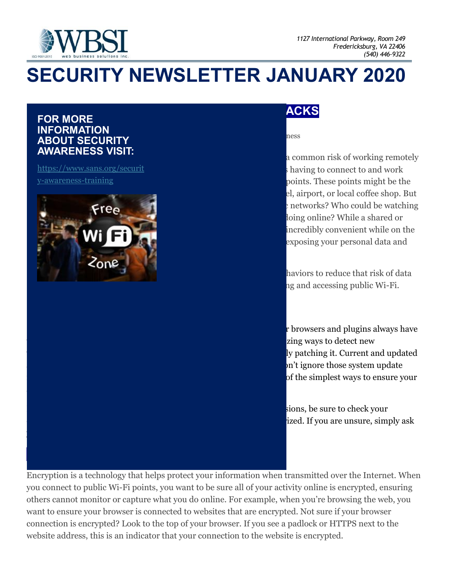

# **SECURITY NEWSLETTER JANUARY 2020**

#### **FOR MORE INFORMATION ABOUT SECURITY AWARENESS VISIT:**

[https://www.sans.org/securit](https://www.sans.org/security-awareness-training) [y-awareness-training](https://www.sans.org/security-awareness-training)



#### **ACKS**

ness

a common risk of working remotely shaving to connect to and work points. These points might be the el, airport, or local coffee shop. But enderivieral who could be watching loing online? While a shared or incredibly convenient while on the exposing your personal data and

haviors to reduce that risk of data ng and accessing public Wi-Fi.

r browsers and plugins always have zing ways to detect new ly patching it. Current and updated n't ignore those system update of the simplest ways to ensure your

sions, be sure to check your ized. If you are unsure, simply ask

Encryption is a technology that helps protect your information when transmitted over the Internet. When you connect to public Wi-Fi points, you want to be sure all of your activity online is encrypted, ensuring others cannot monitor or capture what you do online. For example, when you're browsing the web, you want to ensure your browser is connected to websites that are encrypted. Not sure if your browser connection is encrypted? Look to the top of your browser. If you see a padlock or HTTPS next to the website address, this is an indicator that your connection to the website is encrypted.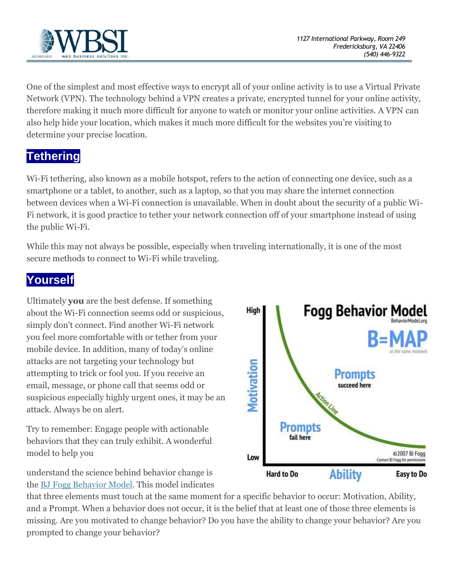

One of the simplest and most effective ways to encrypt all of your online activity is to use a Virtual Private Network (VPN). The technology behind a VPN creates a private, encrypted tunnel for your online activity, therefore making it much more difficult for anyone to watch or monitor your online activities. A VPN can also help hide your location, which makes it much more difficult for the websites you're visiting to determine your precise location.

#### **Tethering**

Wi-Fi tethering, also known as a mobile hotspot, refers to the action of connecting one device, such as a smartphone or a tablet, to another, such as a laptop, so that you may share the internet connection between devices when a Wi-Fi connection is unavailable. When in doubt about the security of a public Wi-Fi network, it is good practice to tether your network connection off of your smartphone instead of using the public Wi-Fi.

While this may not always be possible, especially when traveling internationally, it is one of the most secure methods to connect to Wi-Fi while traveling.

### **Yourself**

Ultimately **you** are the best defense. If something about the Wi-Fi connection seems odd or suspicious, simply don't connect. Find another Wi-Fi network you feel more comfortable with or tether from your mobile device. In addition, many of today's online attacks are not targeting your technology but attempting to trick or fool you. If you receive an email, message, or phone call that seems odd or suspicious especially highly urgent ones, it may be an attack. Always be on alert.

Try to remember: Engage people with actionable behaviors that they can truly exhibit. A wonderful model to help you

understand the science behind behavior change is the [BJ Fogg Behavior Model.](https://behaviormodel.org/) This model indicates



that three elements must touch at the same moment for a specific behavior to occur: Motivation, Ability, and a Prompt. When a behavior does not occur, it is the belief that at least one of those three elements is missing. Are you motivated to change behavior? Do you have the ability to change your behavior? Are you prompted to change your behavior?